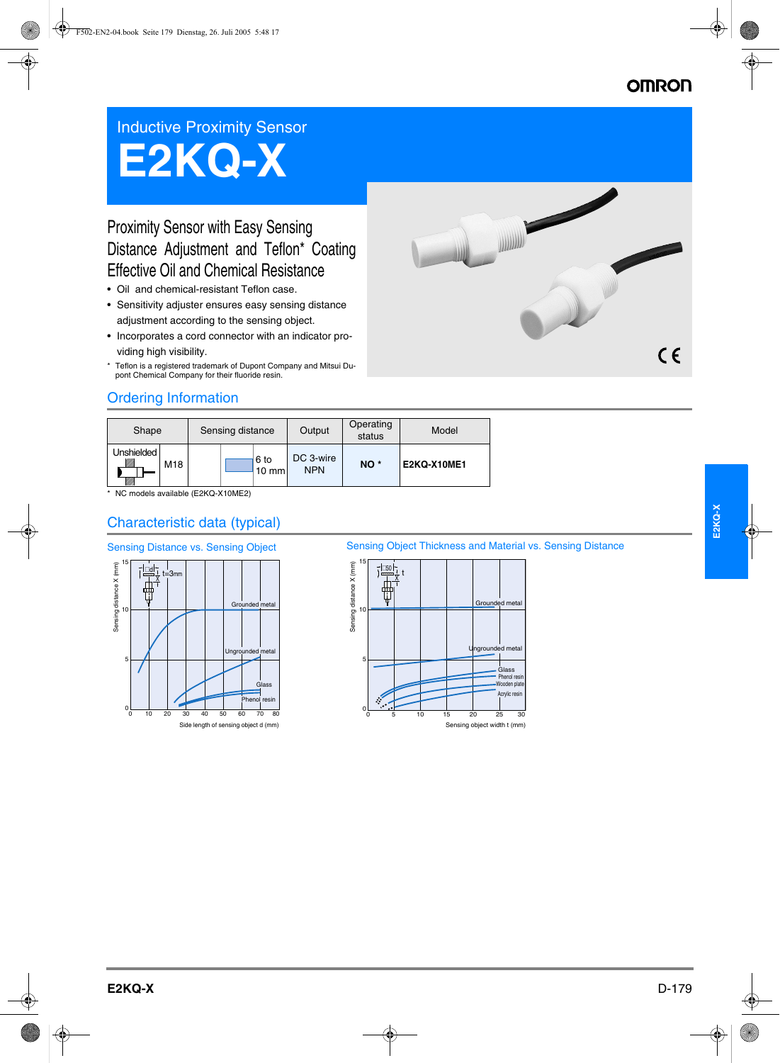## **OMRON**

## Inductive Proximity Sensor

# **E2KQ-X**

## Proximity Sensor with Easy Sensing Distance Adjustment and Teflon\* Coating Effective Oil and Chemical Resistance

- Oil and chemical-resistant Teflon case.
- Sensitivity adjuster ensures easy sensing distance adjustment according to the sensing object.
- Incorporates a cord connector with an indicator providing high visibility.
- \* Teflon is a registered trademark of Dupont Company and Mitsui Dupont Chemical Company for their fluoride resin.



## Ordering Information

| Shape                                   |     | Sensing distance |  |                         | Output                  | Operating<br>status | Model              |
|-----------------------------------------|-----|------------------|--|-------------------------|-------------------------|---------------------|--------------------|
| <b>Unshielded</b><br><u>UMB</u><br>VM). | M18 |                  |  | 6 to<br>$10 \text{ mm}$ | DC 3-wire<br><b>NPN</b> | NO <sup>*</sup>     | <b>E2KQ-X10ME1</b> |

\* NC models available (E2KQ-X10ME2)

## Characteristic data (typical)



#### Sensing Distance vs. Sensing Object Sensing Object Thickness and Material vs. Sensing Distance

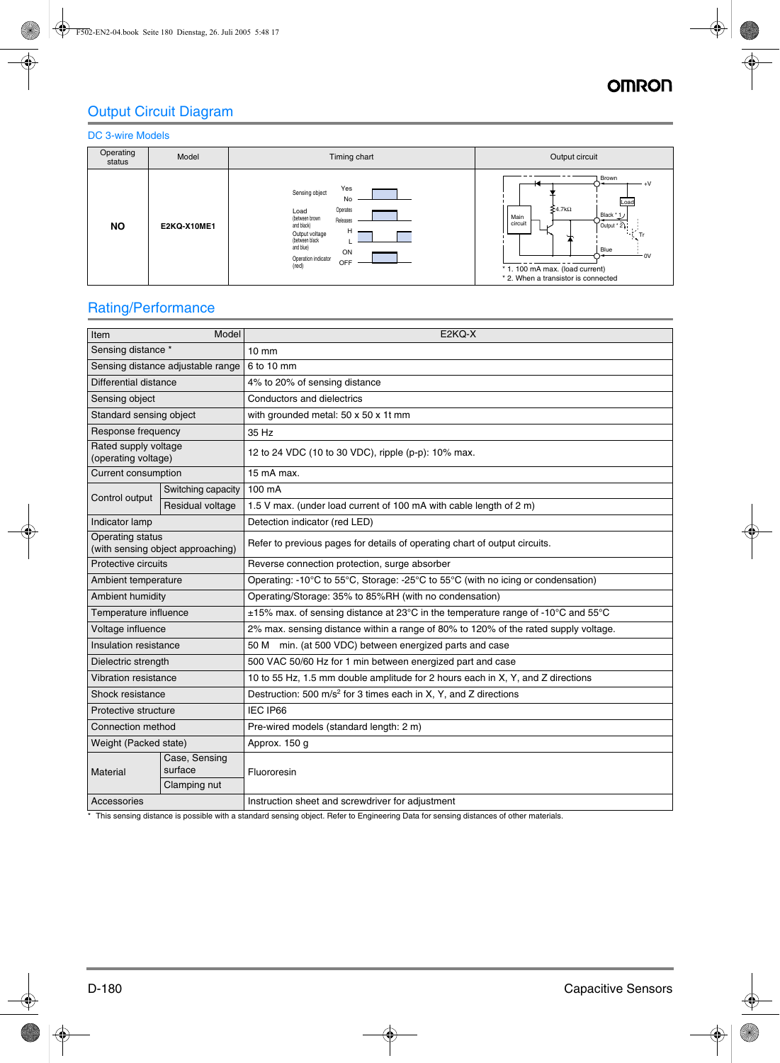## Output Circuit Diagram

#### DC 3-wire Models



## Rating/Performance

| Item                                                  | Model                    | E2KQ-X                                                                              |  |  |  |  |
|-------------------------------------------------------|--------------------------|-------------------------------------------------------------------------------------|--|--|--|--|
| Sensing distance *                                    |                          | $10 \text{ mm}$                                                                     |  |  |  |  |
| Sensing distance adjustable range                     |                          | 6 to 10 mm                                                                          |  |  |  |  |
| Differential distance                                 |                          | 4% to 20% of sensing distance                                                       |  |  |  |  |
| Sensing object                                        |                          | Conductors and dielectrics                                                          |  |  |  |  |
| Standard sensing object                               |                          | with grounded metal: 50 x 50 x 1t mm                                                |  |  |  |  |
| Response frequency                                    |                          | 35 Hz                                                                               |  |  |  |  |
| Rated supply voltage<br>(operating voltage)           |                          | 12 to 24 VDC (10 to 30 VDC), ripple (p-p): 10% max.                                 |  |  |  |  |
| <b>Current consumption</b>                            |                          | 15 mA max.                                                                          |  |  |  |  |
| Control output                                        | Switching capacity       | 100 mA                                                                              |  |  |  |  |
|                                                       | Residual voltage         | 1.5 V max. (under load current of 100 mA with cable length of 2 m)                  |  |  |  |  |
| Indicator lamp                                        |                          | Detection indicator (red LED)                                                       |  |  |  |  |
| Operating status<br>(with sensing object approaching) |                          | Refer to previous pages for details of operating chart of output circuits.          |  |  |  |  |
| Protective circuits                                   |                          | Reverse connection protection, surge absorber                                       |  |  |  |  |
| Ambient temperature                                   |                          | Operating: -10°C to 55°C, Storage: -25°C to 55°C (with no icing or condensation)    |  |  |  |  |
| Ambient humidity                                      |                          | Operating/Storage: 35% to 85%RH (with no condensation)                              |  |  |  |  |
| Temperature influence                                 |                          | ±15% max. of sensing distance at 23°C in the temperature range of -10°C and 55°C    |  |  |  |  |
| Voltage influence                                     |                          | 2% max. sensing distance within a range of 80% to 120% of the rated supply voltage. |  |  |  |  |
| Insulation resistance                                 |                          | 50 M min. (at 500 VDC) between energized parts and case                             |  |  |  |  |
| Dielectric strength                                   |                          | 500 VAC 50/60 Hz for 1 min between energized part and case                          |  |  |  |  |
| Vibration resistance                                  |                          | 10 to 55 Hz, 1.5 mm double amplitude for 2 hours each in X, Y, and Z directions     |  |  |  |  |
| Shock resistance                                      |                          | Destruction: 500 m/s <sup>2</sup> for 3 times each in X, Y, and Z directions        |  |  |  |  |
| Protective structure                                  |                          | IEC IP66                                                                            |  |  |  |  |
| Connection method                                     |                          | Pre-wired models (standard length: 2 m)                                             |  |  |  |  |
| Weight (Packed state)                                 |                          | Approx. 150 g                                                                       |  |  |  |  |
| Material                                              | Case, Sensing<br>surface | Fluororesin                                                                         |  |  |  |  |
|                                                       | Clamping nut             |                                                                                     |  |  |  |  |
| Accessories                                           |                          | Instruction sheet and screwdriver for adjustment                                    |  |  |  |  |

\* This sensing distance is possible with a standard sensing object. Refer to Engineering Data for sensing distances of other materials.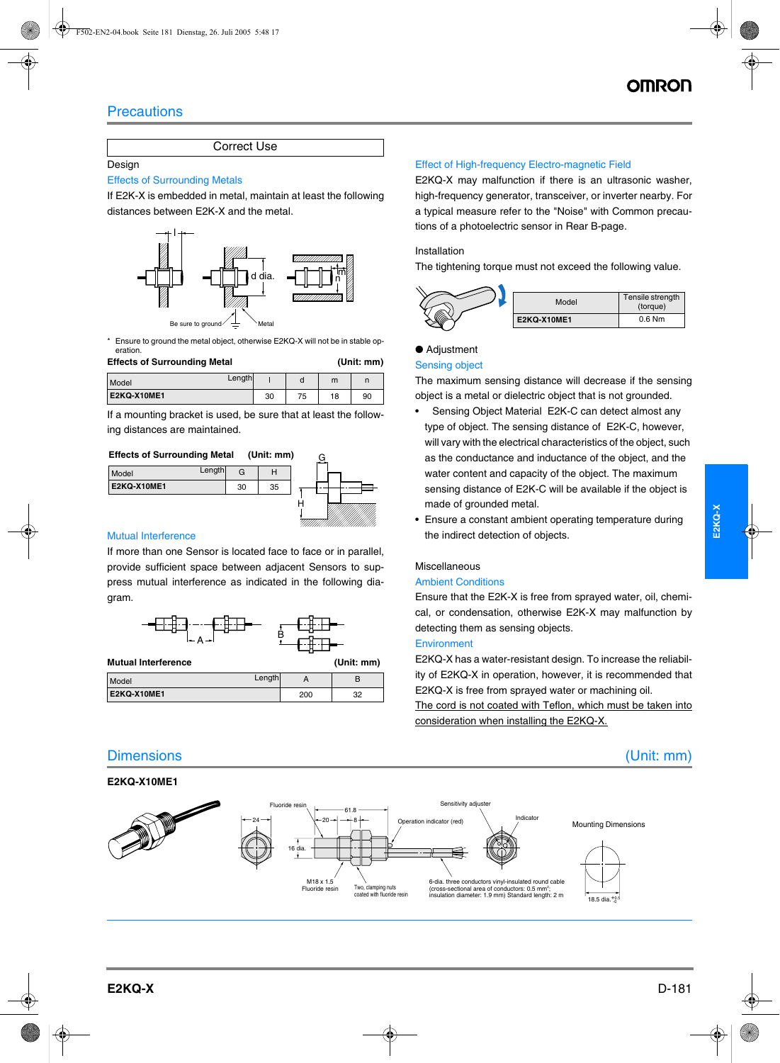## **Precautions**

Correct Use

#### Design

#### Effects of Surrounding Metals

If E2K-X is embedded in metal, maintain at least the following distances between E2K-X and the metal.



\* Ensure to ground the metal object, otherwise E2KQ-X will not be in stable operation.

| <b>Effects of Surrounding Metal</b> |    |    |    | (Unit: mm) |  |  |
|-------------------------------------|----|----|----|------------|--|--|
| Length<br>Model                     |    |    | m  |            |  |  |
| E2KQ-X10ME1                         | 30 | 75 | 18 | 90         |  |  |

If a mounting bracket is used, be sure that at least the following distances are maintained.

#### **Effects of Surrounding Metal (Unit: mm)**



#### Mutual Interference

If more than one Sensor is located face to face or in parallel, provide sufficient space between adjacent Sensors to suppress mutual interference as indicated in the following diagram.



| Model              | Length |     |          |
|--------------------|--------|-----|----------|
| <b>E2KQ-X10ME1</b> |        | 200 | מפ<br>ےں |

### Dimensions (Unit: mm)

#### **E2KQ-X10ME1**

#### Effect of High-frequency Electro-magnetic Field

E2KQ-X may malfunction if there is an ultrasonic washer, high-frequency generator, transceiver, or inverter nearby. For a typical measure refer to the "Noise" with Common precautions of a photoelectric sensor in Rear B-page.

#### Installation

The tightening torque must not exceed the following value.



#### ● Adjustment

#### Sensing object

The maximum sensing distance will decrease if the sensing object is a metal or dielectric object that is not grounded.

- Sensing Object Material E2K-C can detect almost any type of object. The sensing distance of E2K-C, however, will vary with the electrical characteristics of the object, such as the conductance and inductance of the object, and the water content and capacity of the object. The maximum sensing distance of E2K-C will be available if the object is made of grounded metal.
- Ensure a constant ambient operating temperature during the indirect detection of objects.

#### Miscellaneous

#### Ambient Conditions

Ensure that the E2K-X is free from sprayed water, oil, chemical, or condensation, otherwise E2K-X may malfunction by detecting them as sensing objects.

#### **Environment**

E2KQ-X has a water-resistant design. To increase the reliability of E2KQ-X in operation, however, it is recommended that E2KQ-X is free from sprayed water or machining oil.

The cord is not coated with Teflon, which must be taken into consideration when installing the E2KQ-X.